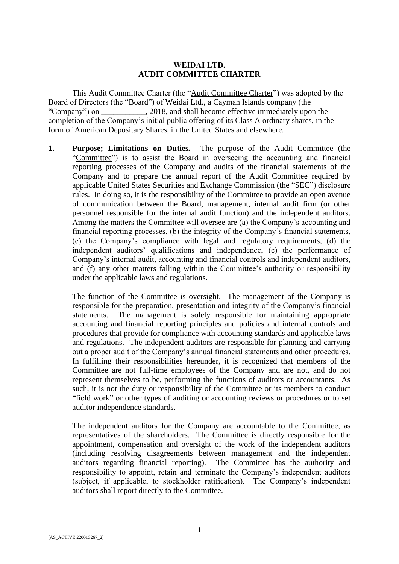### **WEIDAI LTD. AUDIT COMMITTEE CHARTER**

This Audit Committee Charter (the "Audit Committee Charter") was adopted by the Board of Directors (the "Board") of Weidai Ltd., a Cayman Islands company (the "Company") on \_\_\_\_\_\_\_\_\_\_\_, 2018, and shall become effective immediately upon the completion of the Company's initial public offering of its Class A ordinary shares, in the form of American Depositary Shares, in the United States and elsewhere.

**1. Purpose; Limitations on Duties***.* The purpose of the Audit Committee (the "Committee") is to assist the Board in overseeing the accounting and financial reporting processes of the Company and audits of the financial statements of the Company and to prepare the annual report of the Audit Committee required by applicable United States Securities and Exchange Commission (the "SEC") disclosure rules. In doing so, it is the responsibility of the Committee to provide an open avenue of communication between the Board, management, internal audit firm (or other personnel responsible for the internal audit function) and the independent auditors. Among the matters the Committee will oversee are (a) the Company's accounting and financial reporting processes, (b) the integrity of the Company's financial statements, (c) the Company's compliance with legal and regulatory requirements, (d) the independent auditors' qualifications and independence, (e) the performance of Company's internal audit, accounting and financial controls and independent auditors, and (f) any other matters falling within the Committee's authority or responsibility under the applicable laws and regulations.

The function of the Committee is oversight. The management of the Company is responsible for the preparation, presentation and integrity of the Company's financial statements. The management is solely responsible for maintaining appropriate accounting and financial reporting principles and policies and internal controls and procedures that provide for compliance with accounting standards and applicable laws and regulations. The independent auditors are responsible for planning and carrying out a proper audit of the Company's annual financial statements and other procedures. In fulfilling their responsibilities hereunder, it is recognized that members of the Committee are not full-time employees of the Company and are not, and do not represent themselves to be, performing the functions of auditors or accountants. As such, it is not the duty or responsibility of the Committee or its members to conduct "field work" or other types of auditing or accounting reviews or procedures or to set auditor independence standards.

The independent auditors for the Company are accountable to the Committee, as representatives of the shareholders. The Committee is directly responsible for the appointment, compensation and oversight of the work of the independent auditors (including resolving disagreements between management and the independent auditors regarding financial reporting). The Committee has the authority and responsibility to appoint, retain and terminate the Company's independent auditors (subject, if applicable, to stockholder ratification). The Company's independent auditors shall report directly to the Committee.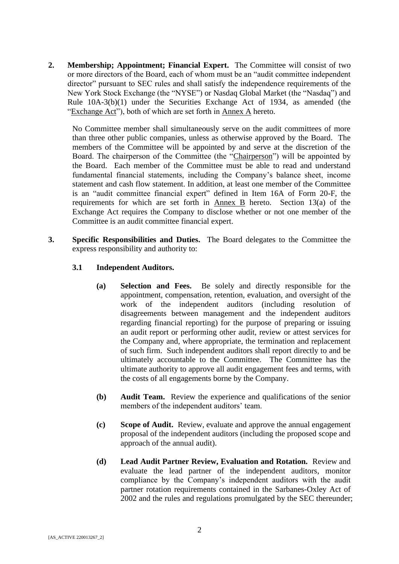**2. Membership; Appointment; Financial Expert.** The Committee will consist of two or more directors of the Board, each of whom must be an "audit committee independent director" pursuant to SEC rules and shall satisfy the independence requirements of the New York Stock Exchange (the "NYSE") or Nasdaq Global Market (the "Nasdaq") and Rule 10A-3(b)(1) under the Securities Exchange Act of 1934, as amended (the "Exchange Act"), both of which are set forth in Annex A hereto.

No Committee member shall simultaneously serve on the audit committees of more than three other public companies, unless as otherwise approved by the Board. The members of the Committee will be appointed by and serve at the discretion of the Board. The chairperson of the Committee (the "Chairperson") will be appointed by the Board. Each member of the Committee must be able to read and understand fundamental financial statements, including the Company's balance sheet, income statement and cash flow statement. In addition, at least one member of the Committee is an "audit committee financial expert" defined in Item 16A of Form 20-F, the requirements for which are set forth in Annex B hereto. Section 13(a) of the Exchange Act requires the Company to disclose whether or not one member of the Committee is an audit committee financial expert.

**3. Specific Responsibilities and Duties.** The Board delegates to the Committee the express responsibility and authority to:

### **3.1 Independent Auditors.**

- **(a) Selection and Fees.** Be solely and directly responsible for the appointment, compensation, retention, evaluation, and oversight of the work of the independent auditors (including resolution of disagreements between management and the independent auditors regarding financial reporting) for the purpose of preparing or issuing an audit report or performing other audit, review or attest services for the Company and, where appropriate, the termination and replacement of such firm. Such independent auditors shall report directly to and be ultimately accountable to the Committee. The Committee has the ultimate authority to approve all audit engagement fees and terms, with the costs of all engagements borne by the Company.
- **(b) Audit Team.** Review the experience and qualifications of the senior members of the independent auditors' team.
- **(c) Scope of Audit.** Review, evaluate and approve the annual engagement proposal of the independent auditors (including the proposed scope and approach of the annual audit).
- **(d) Lead Audit Partner Review, Evaluation and Rotation***.* Review and evaluate the lead partner of the independent auditors, monitor compliance by the Company's independent auditors with the audit partner rotation requirements contained in the Sarbanes-Oxley Act of 2002 and the rules and regulations promulgated by the SEC thereunder;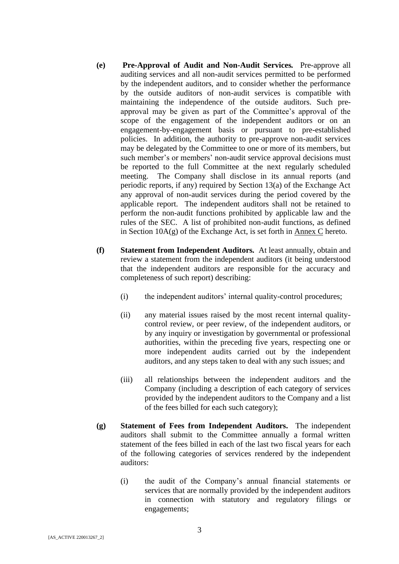- **(e) Pre-Approval of Audit and Non-Audit Services***.* Pre-approve all auditing services and all non-audit services permitted to be performed by the independent auditors, and to consider whether the performance by the outside auditors of non-audit services is compatible with maintaining the independence of the outside auditors. Such preapproval may be given as part of the Committee's approval of the scope of the engagement of the independent auditors or on an engagement-by-engagement basis or pursuant to pre-established policies. In addition, the authority to pre-approve non-audit services may be delegated by the Committee to one or more of its members, but such member's or members' non-audit service approval decisions must be reported to the full Committee at the next regularly scheduled meeting. The Company shall disclose in its annual reports (and periodic reports, if any) required by Section 13(a) of the Exchange Act any approval of non-audit services during the period covered by the applicable report. The independent auditors shall not be retained to perform the non-audit functions prohibited by applicable law and the rules of the SEC. A list of prohibited non-audit functions, as defined in Section  $10A(g)$  of the Exchange Act, is set forth in Annex C hereto.
- **(f) Statement from Independent Auditors***.* At least annually, obtain and review a statement from the independent auditors (it being understood that the independent auditors are responsible for the accuracy and completeness of such report) describing:
	- (i) the independent auditors' internal quality-control procedures;
	- (ii) any material issues raised by the most recent internal qualitycontrol review, or peer review, of the independent auditors, or by any inquiry or investigation by governmental or professional authorities, within the preceding five years, respecting one or more independent audits carried out by the independent auditors, and any steps taken to deal with any such issues; and
	- (iii) all relationships between the independent auditors and the Company (including a description of each category of services provided by the independent auditors to the Company and a list of the fees billed for each such category);
- **(g) Statement of Fees from Independent Auditors.** The independent auditors shall submit to the Committee annually a formal written statement of the fees billed in each of the last two fiscal years for each of the following categories of services rendered by the independent auditors:
	- (i) the audit of the Company's annual financial statements or services that are normally provided by the independent auditors in connection with statutory and regulatory filings or engagements;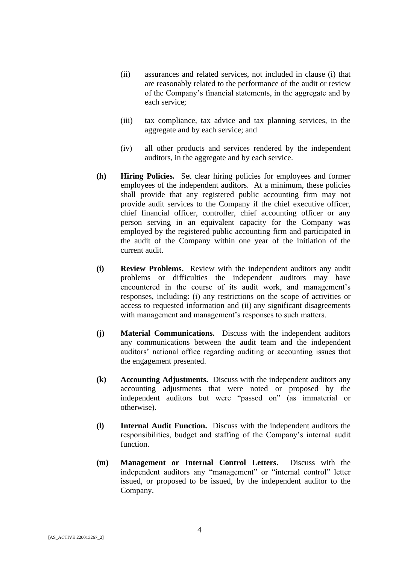- (ii) assurances and related services, not included in clause (i) that are reasonably related to the performance of the audit or review of the Company's financial statements, in the aggregate and by each service;
- (iii) tax compliance, tax advice and tax planning services, in the aggregate and by each service; and
- (iv) all other products and services rendered by the independent auditors, in the aggregate and by each service.
- **(h) Hiring Policies.** Set clear hiring policies for employees and former employees of the independent auditors. At a minimum, these policies shall provide that any registered public accounting firm may not provide audit services to the Company if the chief executive officer, chief financial officer, controller, chief accounting officer or any person serving in an equivalent capacity for the Company was employed by the registered public accounting firm and participated in the audit of the Company within one year of the initiation of the current audit.
- **(i) Review Problems.** Review with the independent auditors any audit problems or difficulties the independent auditors may have encountered in the course of its audit work, and management's responses, including: (i) any restrictions on the scope of activities or access to requested information and (ii) any significant disagreements with management and management's responses to such matters.
- **(j) Material Communications***.* Discuss with the independent auditors any communications between the audit team and the independent auditors' national office regarding auditing or accounting issues that the engagement presented.
- **(k) Accounting Adjustments.** Discuss with the independent auditors any accounting adjustments that were noted or proposed by the independent auditors but were "passed on" (as immaterial or otherwise).
- **(l) Internal Audit Function.** Discuss with the independent auditors the responsibilities, budget and staffing of the Company's internal audit function.
- **(m) Management or Internal Control Letters.** Discuss with the independent auditors any "management" or "internal control" letter issued, or proposed to be issued, by the independent auditor to the Company.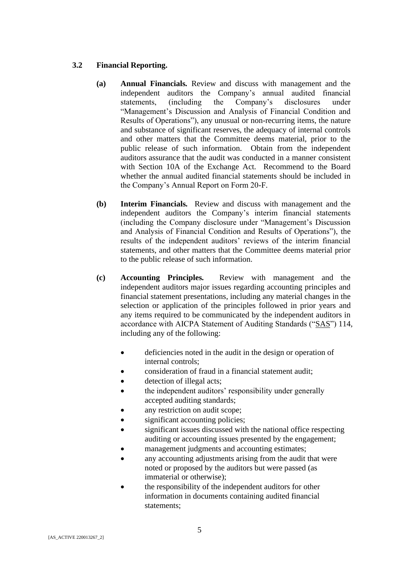# **3.2 Financial Reporting.**

- **(a) Annual Financials***.* Review and discuss with management and the independent auditors the Company's annual audited financial statements, (including the Company's disclosures under "Management's Discussion and Analysis of Financial Condition and Results of Operations"), any unusual or non-recurring items, the nature and substance of significant reserves, the adequacy of internal controls and other matters that the Committee deems material, prior to the public release of such information. Obtain from the independent auditors assurance that the audit was conducted in a manner consistent with Section 10A of the Exchange Act. Recommend to the Board whether the annual audited financial statements should be included in the Company's Annual Report on Form 20-F.
- **(b) Interim Financials***.* Review and discuss with management and the independent auditors the Company's interim financial statements (including the Company disclosure under "Management's Discussion and Analysis of Financial Condition and Results of Operations"), the results of the independent auditors' reviews of the interim financial statements, and other matters that the Committee deems material prior to the public release of such information.
- **(c) Accounting Principles***.* Review with management and the independent auditors major issues regarding accounting principles and financial statement presentations, including any material changes in the selection or application of the principles followed in prior years and any items required to be communicated by the independent auditors in accordance with AICPA Statement of Auditing Standards ("SAS") 114, including any of the following:
	- deficiencies noted in the audit in the design or operation of internal controls;
	- consideration of fraud in a financial statement audit;
	- detection of illegal acts;
	- the independent auditors' responsibility under generally accepted auditing standards;
	- any restriction on audit scope;
	- significant accounting policies;
	- significant issues discussed with the national office respecting auditing or accounting issues presented by the engagement;
	- management judgments and accounting estimates;
	- any accounting adjustments arising from the audit that were noted or proposed by the auditors but were passed (as immaterial or otherwise);
	- the responsibility of the independent auditors for other information in documents containing audited financial statements;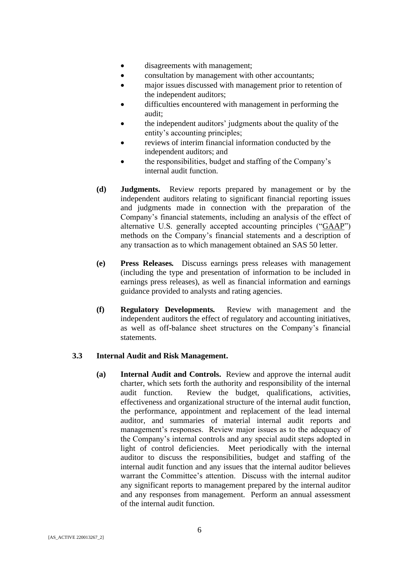- disagreements with management;
- consultation by management with other accountants;
- major issues discussed with management prior to retention of the independent auditors;
- difficulties encountered with management in performing the audit;
- the independent auditors' judgments about the quality of the entity's accounting principles;
- reviews of interim financial information conducted by the independent auditors; and
- the responsibilities, budget and staffing of the Company's internal audit function.
- **(d) Judgments.** Review reports prepared by management or by the independent auditors relating to significant financial reporting issues and judgments made in connection with the preparation of the Company's financial statements, including an analysis of the effect of alternative U.S. generally accepted accounting principles ("GAAP") methods on the Company's financial statements and a description of any transaction as to which management obtained an SAS 50 letter.
- **(e) Press Releases***.* Discuss earnings press releases with management (including the type and presentation of information to be included in earnings press releases), as well as financial information and earnings guidance provided to analysts and rating agencies.
- **(f) Regulatory Developments***.* Review with management and the independent auditors the effect of regulatory and accounting initiatives, as well as off-balance sheet structures on the Company's financial statements.

# **3.3 Internal Audit and Risk Management.**

**(a) Internal Audit and Controls.** Review and approve the internal audit charter, which sets forth the authority and responsibility of the internal audit function. Review the budget, qualifications, activities, effectiveness and organizational structure of the internal audit function, the performance, appointment and replacement of the lead internal auditor, and summaries of material internal audit reports and management's responses. Review major issues as to the adequacy of the Company's internal controls and any special audit steps adopted in light of control deficiencies. Meet periodically with the internal auditor to discuss the responsibilities, budget and staffing of the internal audit function and any issues that the internal auditor believes warrant the Committee's attention. Discuss with the internal auditor any significant reports to management prepared by the internal auditor and any responses from management. Perform an annual assessment of the internal audit function.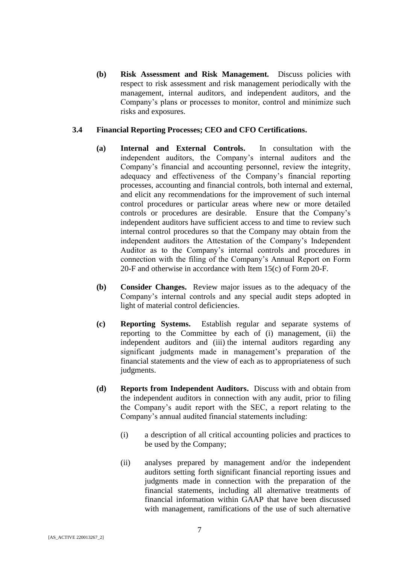**(b) Risk Assessment and Risk Management***.* Discuss policies with respect to risk assessment and risk management periodically with the management, internal auditors, and independent auditors, and the Company's plans or processes to monitor, control and minimize such risks and exposures.

### **3.4 Financial Reporting Processes; CEO and CFO Certifications.**

- **(a) Internal and External Controls.** In consultation with the independent auditors, the Company's internal auditors and the Company's financial and accounting personnel, review the integrity, adequacy and effectiveness of the Company's financial reporting processes, accounting and financial controls, both internal and external, and elicit any recommendations for the improvement of such internal control procedures or particular areas where new or more detailed controls or procedures are desirable. Ensure that the Company's independent auditors have sufficient access to and time to review such internal control procedures so that the Company may obtain from the independent auditors the Attestation of the Company's Independent Auditor as to the Company's internal controls and procedures in connection with the filing of the Company's Annual Report on Form 20-F and otherwise in accordance with Item 15(c) of Form 20-F.
- **(b) Consider Changes.** Review major issues as to the adequacy of the Company's internal controls and any special audit steps adopted in light of material control deficiencies.
- **(c) Reporting Systems.** Establish regular and separate systems of reporting to the Committee by each of (i) management, (ii) the independent auditors and (iii) the internal auditors regarding any significant judgments made in management's preparation of the financial statements and the view of each as to appropriateness of such judgments.
- **(d) Reports from Independent Auditors.** Discuss with and obtain from the independent auditors in connection with any audit, prior to filing the Company's audit report with the SEC, a report relating to the Company's annual audited financial statements including:
	- (i) a description of all critical accounting policies and practices to be used by the Company;
	- (ii) analyses prepared by management and/or the independent auditors setting forth significant financial reporting issues and judgments made in connection with the preparation of the financial statements, including all alternative treatments of financial information within GAAP that have been discussed with management, ramifications of the use of such alternative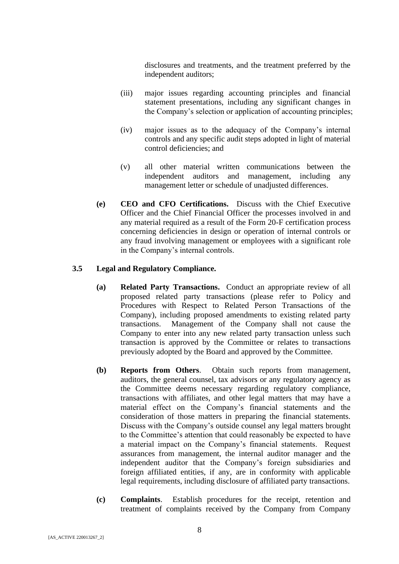disclosures and treatments, and the treatment preferred by the independent auditors;

- (iii) major issues regarding accounting principles and financial statement presentations, including any significant changes in the Company's selection or application of accounting principles;
- (iv) major issues as to the adequacy of the Company's internal controls and any specific audit steps adopted in light of material control deficiencies; and
- (v) all other material written communications between the independent auditors and management, including any management letter or schedule of unadjusted differences.
- **(e) CEO and CFO Certifications.** Discuss with the Chief Executive Officer and the Chief Financial Officer the processes involved in and any material required as a result of the Form 20-F certification process concerning deficiencies in design or operation of internal controls or any fraud involving management or employees with a significant role in the Company's internal controls.

### **3.5 Legal and Regulatory Compliance.**

- **(a) Related Party Transactions.** Conduct an appropriate review of all proposed related party transactions (please refer to Policy and Procedures with Respect to Related Person Transactions of the Company), including proposed amendments to existing related party transactions. Management of the Company shall not cause the Company to enter into any new related party transaction unless such transaction is approved by the Committee or relates to transactions previously adopted by the Board and approved by the Committee.
- **(b) Reports from Others**.Obtain such reports from management, auditors, the general counsel, tax advisors or any regulatory agency as the Committee deems necessary regarding regulatory compliance, transactions with affiliates, and other legal matters that may have a material effect on the Company's financial statements and the consideration of those matters in preparing the financial statements. Discuss with the Company's outside counsel any legal matters brought to the Committee's attention that could reasonably be expected to have a material impact on the Company's financial statements. Request assurances from management, the internal auditor manager and the independent auditor that the Company's foreign subsidiaries and foreign affiliated entities, if any, are in conformity with applicable legal requirements, including disclosure of affiliated party transactions.
- **(c) Complaints**. Establish procedures for the receipt, retention and treatment of complaints received by the Company from Company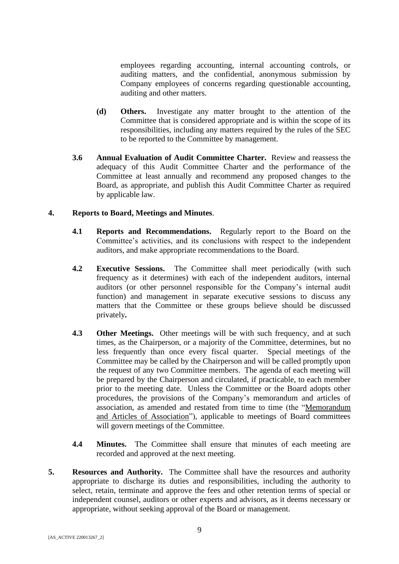employees regarding accounting, internal accounting controls, or auditing matters, and the confidential, anonymous submission by Company employees of concerns regarding questionable accounting, auditing and other matters.

- **(d) Others.** Investigate any matter brought to the attention of the Committee that is considered appropriate and is within the scope of its responsibilities, including any matters required by the rules of the SEC to be reported to the Committee by management.
- **3.6 Annual Evaluation of Audit Committee Charter.** Review and reassess the adequacy of this Audit Committee Charter and the performance of the Committee at least annually and recommend any proposed changes to the Board, as appropriate, and publish this Audit Committee Charter as required by applicable law.

#### **4. Reports to Board, Meetings and Minutes**.

- **4.1 Reports and Recommendations.**Regularly report to the Board on the Committee's activities, and its conclusions with respect to the independent auditors, and make appropriate recommendations to the Board.
- **4.2 Executive Sessions.** The Committee shall meet periodically (with such frequency as it determines) with each of the independent auditors, internal auditors (or other personnel responsible for the Company's internal audit function) and management in separate executive sessions to discuss any matters that the Committee or these groups believe should be discussed privately*.*
- **4.3 Other Meetings.** Other meetings will be with such frequency, and at such times, as the Chairperson, or a majority of the Committee, determines, but no less frequently than once every fiscal quarter. Special meetings of the Committee may be called by the Chairperson and will be called promptly upon the request of any two Committee members. The agenda of each meeting will be prepared by the Chairperson and circulated, if practicable, to each member prior to the meeting date. Unless the Committee or the Board adopts other procedures, the provisions of the Company's memorandum and articles of association, as amended and restated from time to time (the "Memorandum and Articles of Association"), applicable to meetings of Board committees will govern meetings of the Committee.
- **4.4 Minutes.** The Committee shall ensure that minutes of each meeting are recorded and approved at the next meeting.
- **5. Resources and Authority.** The Committee shall have the resources and authority appropriate to discharge its duties and responsibilities, including the authority to select, retain, terminate and approve the fees and other retention terms of special or independent counsel, auditors or other experts and advisors, as it deems necessary or appropriate, without seeking approval of the Board or management.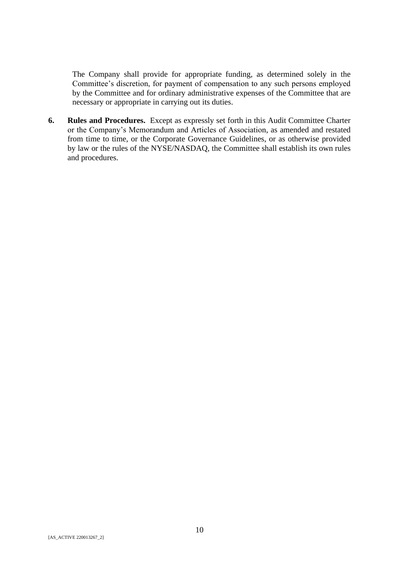The Company shall provide for appropriate funding, as determined solely in the Committee's discretion, for payment of compensation to any such persons employed by the Committee and for ordinary administrative expenses of the Committee that are necessary or appropriate in carrying out its duties.

**6. Rules and Procedures.** Except as expressly set forth in this Audit Committee Charter or the Company's Memorandum and Articles of Association, as amended and restated from time to time, or the Corporate Governance Guidelines, or as otherwise provided by law or the rules of the NYSE/NASDAQ, the Committee shall establish its own rules and procedures.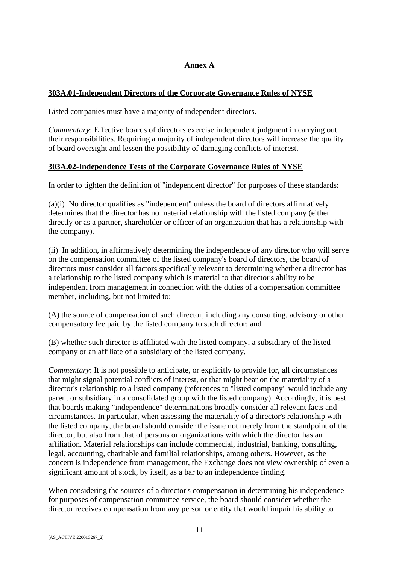# **Annex A**

# **303A.01-Independent Directors of the Corporate Governance Rules of NYSE**

Listed companies must have a majority of independent directors.

*Commentary*: Effective boards of directors exercise independent judgment in carrying out their responsibilities. Requiring a majority of independent directors will increase the quality of board oversight and lessen the possibility of damaging conflicts of interest.

# **303A.02-Independence Tests of the Corporate Governance Rules of NYSE**

In order to tighten the definition of "independent director" for purposes of these standards:

(a)(i) No director qualifies as "independent" unless the board of directors affirmatively determines that the director has no material relationship with the listed company (either directly or as a partner, shareholder or officer of an organization that has a relationship with the company).

(ii) In addition, in affirmatively determining the independence of any director who will serve on the compensation committee of the listed company's board of directors, the board of directors must consider all factors specifically relevant to determining whether a director has a relationship to the listed company which is material to that director's ability to be independent from management in connection with the duties of a compensation committee member, including, but not limited to:

(A) the source of compensation of such director, including any consulting, advisory or other compensatory fee paid by the listed company to such director; and

(B) whether such director is affiliated with the listed company, a subsidiary of the listed company or an affiliate of a subsidiary of the listed company.

*Commentary*: It is not possible to anticipate, or explicitly to provide for, all circumstances that might signal potential conflicts of interest, or that might bear on the materiality of a director's relationship to a listed company (references to "listed company" would include any parent or subsidiary in a consolidated group with the listed company). Accordingly, it is best that boards making "independence" determinations broadly consider all relevant facts and circumstances. In particular, when assessing the materiality of a director's relationship with the listed company, the board should consider the issue not merely from the standpoint of the director, but also from that of persons or organizations with which the director has an affiliation. Material relationships can include commercial, industrial, banking, consulting, legal, accounting, charitable and familial relationships, among others. However, as the concern is independence from management, the Exchange does not view ownership of even a significant amount of stock, by itself, as a bar to an independence finding.

When considering the sources of a director's compensation in determining his independence for purposes of compensation committee service, the board should consider whether the director receives compensation from any person or entity that would impair his ability to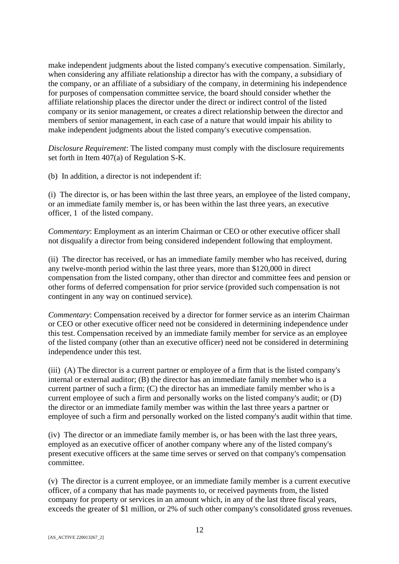make independent judgments about the listed company's executive compensation. Similarly, when considering any affiliate relationship a director has with the company, a subsidiary of the company, or an affiliate of a subsidiary of the company, in determining his independence for purposes of compensation committee service, the board should consider whether the affiliate relationship places the director under the direct or indirect control of the listed company or its senior management, or creates a direct relationship between the director and members of senior management, in each case of a nature that would impair his ability to make independent judgments about the listed company's executive compensation.

*Disclosure Requirement*: The listed company must comply with the disclosure requirements set forth in Item 407(a) of Regulation S-K.

(b) In addition, a director is not independent if:

(i) The director is, or has been within the last three years, an employee of the listed company, or an immediate family member is, or has been within the last three years, an executive officer, 1 of the listed company.

*Commentary*: Employment as an interim Chairman or CEO or other executive officer shall not disqualify a director from being considered independent following that employment.

(ii) The director has received, or has an immediate family member who has received, during any twelve-month period within the last three years, more than \$120,000 in direct compensation from the listed company, other than director and committee fees and pension or other forms of deferred compensation for prior service (provided such compensation is not contingent in any way on continued service).

*Commentary*: Compensation received by a director for former service as an interim Chairman or CEO or other executive officer need not be considered in determining independence under this test. Compensation received by an immediate family member for service as an employee of the listed company (other than an executive officer) need not be considered in determining independence under this test.

(iii) (A) The director is a current partner or employee of a firm that is the listed company's internal or external auditor; (B) the director has an immediate family member who is a current partner of such a firm; (C) the director has an immediate family member who is a current employee of such a firm and personally works on the listed company's audit; or (D) the director or an immediate family member was within the last three years a partner or employee of such a firm and personally worked on the listed company's audit within that time.

(iv) The director or an immediate family member is, or has been with the last three years, employed as an executive officer of another company where any of the listed company's present executive officers at the same time serves or served on that company's compensation committee.

(v) The director is a current employee, or an immediate family member is a current executive officer, of a company that has made payments to, or received payments from, the listed company for property or services in an amount which, in any of the last three fiscal years, exceeds the greater of \$1 million, or 2% of such other company's consolidated gross revenues.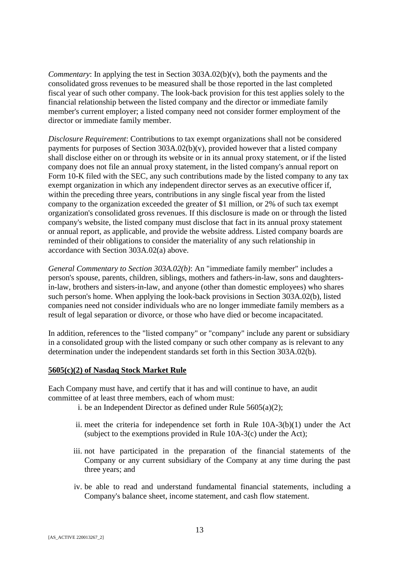*Commentary*: In applying the test in Section 303A.02(b)(v), both the payments and the consolidated gross revenues to be measured shall be those reported in the last completed fiscal year of such other company. The look-back provision for this test applies solely to the financial relationship between the listed company and the director or immediate family member's current employer; a listed company need not consider former employment of the director or immediate family member.

*Disclosure Requirement*: Contributions to tax exempt organizations shall not be considered payments for purposes of Section 303A.02(b)(v), provided however that a listed company shall disclose either on or through its website or in its annual proxy statement, or if the listed company does not file an annual proxy statement, in the listed company's annual report on Form 10-K filed with the SEC, any such contributions made by the listed company to any tax exempt organization in which any independent director serves as an executive officer if, within the preceding three years, contributions in any single fiscal year from the listed company to the organization exceeded the greater of \$1 million, or 2% of such tax exempt organization's consolidated gross revenues. If this disclosure is made on or through the listed company's website, the listed company must disclose that fact in its annual proxy statement or annual report, as applicable, and provide the website address. Listed company boards are reminded of their obligations to consider the materiality of any such relationship in accordance with Section 303A.02(a) above.

*General Commentary to Section 303A.02(b)*: An "immediate family member" includes a person's spouse, parents, children, siblings, mothers and fathers-in-law, sons and daughtersin-law, brothers and sisters-in-law, and anyone (other than domestic employees) who shares such person's home. When applying the look-back provisions in Section 303A.02(b), listed companies need not consider individuals who are no longer immediate family members as a result of legal separation or divorce, or those who have died or become incapacitated.

In addition, references to the "listed company" or "company" include any parent or subsidiary in a consolidated group with the listed company or such other company as is relevant to any determination under the independent standards set forth in this Section 303A.02(b).

#### **5605(c)(2) of Nasdaq Stock Market Rule**

Each Company must have, and certify that it has and will continue to have, an audit committee of at least three members, each of whom must:

- i. be an Independent Director as defined under Rule 5605(a)(2);
- ii. meet the criteria for independence set forth in Rule 10A-3(b)(1) under the Act (subject to the exemptions provided in Rule 10A-3(c) under the Act);
- iii. not have participated in the preparation of the financial statements of the Company or any current subsidiary of the Company at any time during the past three years; and
- iv. be able to read and understand fundamental financial statements, including a Company's balance sheet, income statement, and cash flow statement.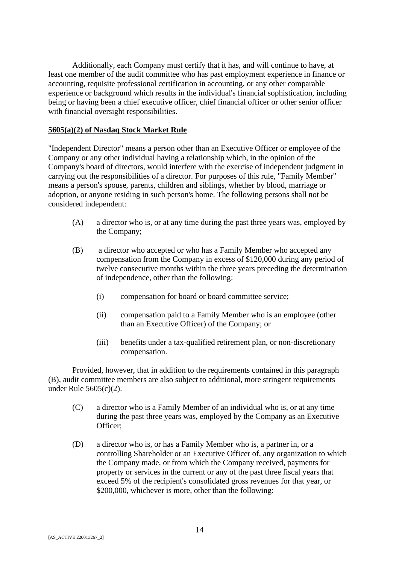Additionally, each Company must certify that it has, and will continue to have, at least one member of the audit committee who has past employment experience in finance or accounting, requisite professional certification in accounting, or any other comparable experience or background which results in the individual's financial sophistication, including being or having been a chief executive officer, chief financial officer or other senior officer with financial oversight responsibilities.

#### **5605(a)(2) of Nasdaq Stock Market Rule**

"Independent Director" means a person other than an Executive Officer or employee of the Company or any other individual having a relationship which, in the opinion of the Company's board of directors, would interfere with the exercise of independent judgment in carrying out the responsibilities of a director. For purposes of this rule, "Family Member" means a person's spouse, parents, children and siblings, whether by blood, marriage or adoption, or anyone residing in such person's home. The following persons shall not be considered independent:

- (A) a director who is, or at any time during the past three years was, employed by the Company;
- (B) a director who accepted or who has a Family Member who accepted any compensation from the Company in excess of \$120,000 during any period of twelve consecutive months within the three years preceding the determination of independence, other than the following:
	- (i) compensation for board or board committee service;
	- (ii) compensation paid to a Family Member who is an employee (other than an Executive Officer) of the Company; or
	- (iii) benefits under a tax-qualified retirement plan, or non-discretionary compensation.

Provided, however, that in addition to the requirements contained in this paragraph (B), audit committee members are also subject to additional, more stringent requirements under Rule 5605(c)(2).

- (C) a director who is a Family Member of an individual who is, or at any time during the past three years was, employed by the Company as an Executive Officer;
- (D) a director who is, or has a Family Member who is, a partner in, or a controlling Shareholder or an Executive Officer of, any organization to which the Company made, or from which the Company received, payments for property or services in the current or any of the past three fiscal years that exceed 5% of the recipient's consolidated gross revenues for that year, or \$200,000, whichever is more, other than the following: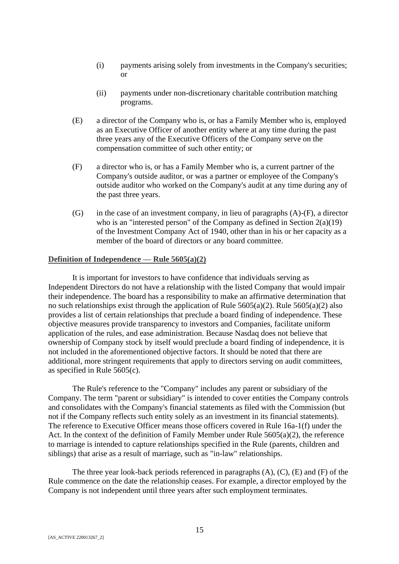- (i) payments arising solely from investments in the Company's securities; or
- (ii) payments under non-discretionary charitable contribution matching programs.
- (E) a director of the Company who is, or has a Family Member who is, employed as an Executive Officer of another entity where at any time during the past three years any of the Executive Officers of the Company serve on the compensation committee of such other entity; or
- (F)a director who is, or has a Family Member who is, a current partner of the Company's outside auditor, or was a partner or employee of the Company's outside auditor who worked on the Company's audit at any time during any of the past three years.
- $(G)$  in the case of an investment company, in lieu of paragraphs  $(A)$ - $(F)$ , a director who is an "interested person" of the Company as defined in Section  $2(a)(19)$ of the Investment Company Act of 1940, other than in his or her capacity as a member of the board of directors or any board committee.

#### **Definition of Independence — Rule 5605(a)(2)**

It is important for investors to have confidence that individuals serving as Independent Directors do not have a relationship with the listed Company that would impair their independence. The board has a responsibility to make an affirmative determination that no such relationships exist through the application of Rule  $5605(a)(2)$ . Rule  $5605(a)(2)$  also provides a list of certain relationships that preclude a board finding of independence. These objective measures provide transparency to investors and Companies, facilitate uniform application of the rules, and ease administration. Because Nasdaq does not believe that ownership of Company stock by itself would preclude a board finding of independence, it is not included in the aforementioned objective factors. It should be noted that there are additional, more stringent requirements that apply to directors serving on audit committees, as specified in Rule 5605(c).

The Rule's reference to the "Company" includes any parent or subsidiary of the Company. The term "parent or subsidiary" is intended to cover entities the Company controls and consolidates with the Company's financial statements as filed with the Commission (but not if the Company reflects such entity solely as an investment in its financial statements). The reference to Executive Officer means those officers covered in Rule 16a-1(f) under the Act. In the context of the definition of Family Member under Rule 5605(a)(2), the reference to marriage is intended to capture relationships specified in the Rule (parents, children and siblings) that arise as a result of marriage, such as "in-law" relationships.

The three year look-back periods referenced in paragraphs (A), (C), (E) and (F) of the Rule commence on the date the relationship ceases. For example, a director employed by the Company is not independent until three years after such employment terminates.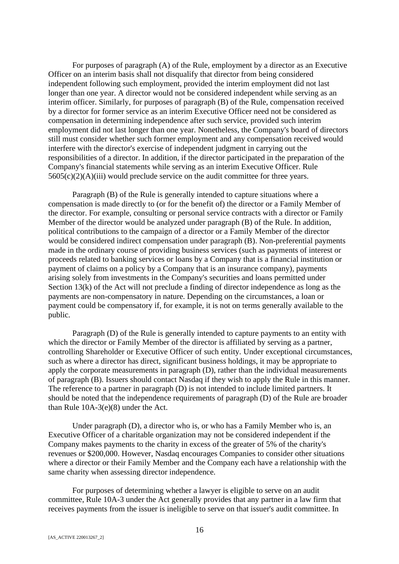For purposes of paragraph (A) of the Rule, employment by a director as an Executive Officer on an interim basis shall not disqualify that director from being considered independent following such employment, provided the interim employment did not last longer than one year. A director would not be considered independent while serving as an interim officer. Similarly, for purposes of paragraph (B) of the Rule, compensation received by a director for former service as an interim Executive Officer need not be considered as compensation in determining independence after such service, provided such interim employment did not last longer than one year. Nonetheless, the Company's board of directors still must consider whether such former employment and any compensation received would interfere with the director's exercise of independent judgment in carrying out the responsibilities of a director. In addition, if the director participated in the preparation of the Company's financial statements while serving as an interim Executive Officer. Rule  $5605(c)(2)$ (A)(iii) would preclude service on the audit committee for three years.

Paragraph (B) of the Rule is generally intended to capture situations where a compensation is made directly to (or for the benefit of) the director or a Family Member of the director. For example, consulting or personal service contracts with a director or Family Member of the director would be analyzed under paragraph (B) of the Rule. In addition, political contributions to the campaign of a director or a Family Member of the director would be considered indirect compensation under paragraph (B). Non-preferential payments made in the ordinary course of providing business services (such as payments of interest or proceeds related to banking services or loans by a Company that is a financial institution or payment of claims on a policy by a Company that is an insurance company), payments arising solely from investments in the Company's securities and loans permitted under Section 13(k) of the Act will not preclude a finding of director independence as long as the payments are non-compensatory in nature. Depending on the circumstances, a loan or payment could be compensatory if, for example, it is not on terms generally available to the public.

Paragraph (D) of the Rule is generally intended to capture payments to an entity with which the director or Family Member of the director is affiliated by serving as a partner, controlling Shareholder or Executive Officer of such entity. Under exceptional circumstances, such as where a director has direct, significant business holdings, it may be appropriate to apply the corporate measurements in paragraph (D), rather than the individual measurements of paragraph (B). Issuers should contact Nasdaq if they wish to apply the Rule in this manner. The reference to a partner in paragraph (D) is not intended to include limited partners. It should be noted that the independence requirements of paragraph (D) of the Rule are broader than Rule 10A-3(e)(8) under the Act.

Under paragraph (D), a director who is, or who has a Family Member who is, an Executive Officer of a charitable organization may not be considered independent if the Company makes payments to the charity in excess of the greater of 5% of the charity's revenues or \$200,000. However, Nasdaq encourages Companies to consider other situations where a director or their Family Member and the Company each have a relationship with the same charity when assessing director independence.

For purposes of determining whether a lawyer is eligible to serve on an audit committee, Rule 10A-3 under the Act generally provides that any partner in a law firm that receives payments from the issuer is ineligible to serve on that issuer's audit committee. In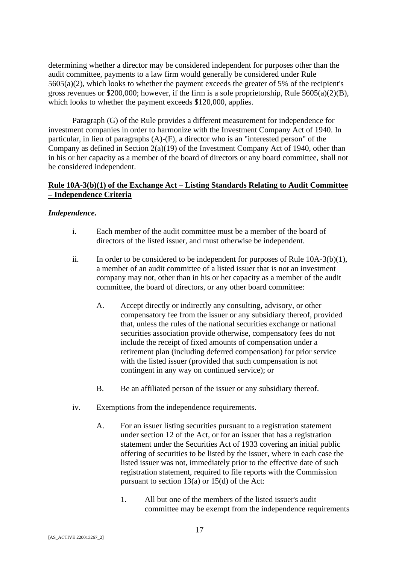determining whether a director may be considered independent for purposes other than the audit committee, payments to a law firm would generally be considered under Rule 5605(a)(2), which looks to whether the payment exceeds the greater of 5% of the recipient's gross revenues or \$200,000; however, if the firm is a sole proprietorship, Rule 5605(a)(2)(B), which looks to whether the payment exceeds \$120,000, applies.

Paragraph (G) of the Rule provides a different measurement for independence for investment companies in order to harmonize with the Investment Company Act of 1940. In particular, in lieu of paragraphs (A)-(F), a director who is an "interested person" of the Company as defined in Section 2(a)(19) of the Investment Company Act of 1940, other than in his or her capacity as a member of the board of directors or any board committee, shall not be considered independent.

# **Rule 10A-3(b)(1) of the Exchange Act – Listing Standards Relating to Audit Committee – Independence Criteria**

### *Independence.*

- i. Each member of the audit committee must be a member of the board of directors of the listed issuer, and must otherwise be independent.
- ii. In order to be considered to be independent for purposes of Rule 10A-3(b)(1), a member of an audit committee of a listed issuer that is not an investment company may not, other than in his or her capacity as a member of the audit committee, the board of directors, or any other board committee:
	- A. Accept directly or indirectly any consulting, advisory, or other compensatory fee from the issuer or any subsidiary thereof, provided that, unless the rules of the national securities exchange or national securities association provide otherwise, compensatory fees do not include the receipt of fixed amounts of compensation under a retirement plan (including deferred compensation) for prior service with the listed issuer (provided that such compensation is not contingent in any way on continued service); or
	- B. Be an affiliated person of the issuer or any subsidiary thereof.
- iv. Exemptions from the independence requirements.
	- A. For an issuer listing securities pursuant to a registration statement under section 12 of the Act, or for an issuer that has a registration statement under the Securities Act of 1933 covering an initial public offering of securities to be listed by the issuer, where in each case the listed issuer was not, immediately prior to the effective date of such registration statement, required to file reports with the Commission pursuant to section 13(a) or 15(d) of the Act:
		- 1. All but one of the members of the listed issuer's audit committee may be exempt from the independence requirements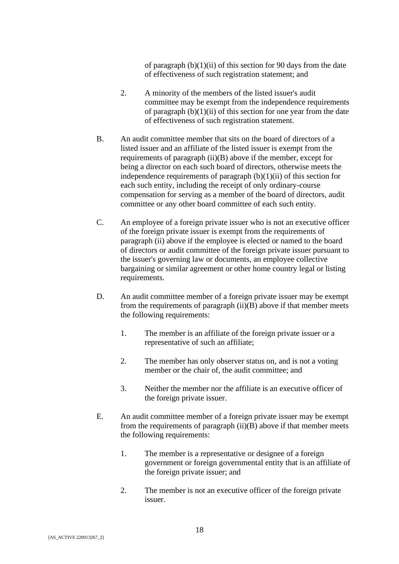of paragraph  $(b)(1)(ii)$  of this section for 90 days from the date of effectiveness of such registration statement; and

- 2. A minority of the members of the listed issuer's audit committee may be exempt from the independence requirements of paragraph  $(b)(1)(ii)$  of this section for one year from the date of effectiveness of such registration statement.
- B. An audit committee member that sits on the board of directors of a listed issuer and an affiliate of the listed issuer is exempt from the requirements of paragraph (ii)(B) above if the member, except for being a director on each such board of directors, otherwise meets the independence requirements of paragraph  $(b)(1)(ii)$  of this section for each such entity, including the receipt of only ordinary-course compensation for serving as a member of the board of directors, audit committee or any other board committee of each such entity.
- C. An employee of a foreign private issuer who is not an executive officer of the foreign private issuer is exempt from the requirements of paragraph (ii) above if the employee is elected or named to the board of directors or audit committee of the foreign private issuer pursuant to the issuer's governing law or documents, an employee collective bargaining or similar agreement or other home country legal or listing requirements.
- D. An audit committee member of a foreign private issuer may be exempt from the requirements of paragraph  $(ii)(B)$  above if that member meets the following requirements:
	- 1. The member is an affiliate of the foreign private issuer or a representative of such an affiliate;
	- 2. The member has only observer status on, and is not a voting member or the chair of, the audit committee; and
	- 3. Neither the member nor the affiliate is an executive officer of the foreign private issuer.
- E. An audit committee member of a foreign private issuer may be exempt from the requirements of paragraph (ii)(B) above if that member meets the following requirements:
	- 1. The member is a representative or designee of a foreign government or foreign governmental entity that is an affiliate of the foreign private issuer; and
	- 2. The member is not an executive officer of the foreign private issuer.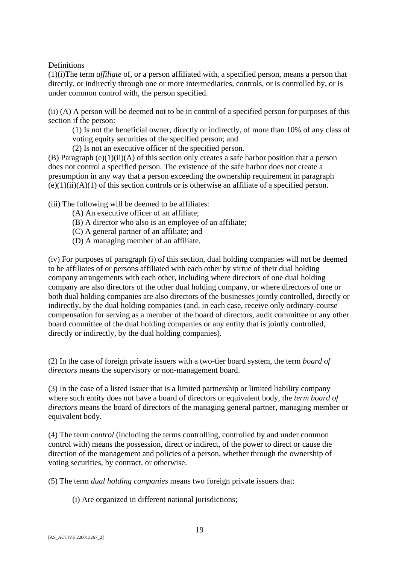Definitions

(1)(i)The term *affiliate* of, or a person affiliated with, a specified person, means a person that directly, or indirectly through one or more intermediaries, controls, or is controlled by, or is under common control with, the person specified.

(ii) (A) A person will be deemed not to be in control of a specified person for purposes of this section if the person:

(1) Is not the beneficial owner, directly or indirectly, of more than 10% of any class of voting equity securities of the specified person; and

(2) Is not an executive officer of the specified person.

(B) Paragraph (e)(1)(ii)(A) of this section only creates a safe harbor position that a person does not control a specified person. The existence of the safe harbor does not create a presumption in any way that a person exceeding the ownership requirement in paragraph  $(e)(1)(ii)(A)(1)$  of this section controls or is otherwise an affiliate of a specified person.

(iii) The following will be deemed to be affiliates:

- (A) An executive officer of an affiliate;
- (B) A director who also is an employee of an affiliate;
- (C) A general partner of an affiliate; and
- (D) A managing member of an affiliate.

(iv) For purposes of paragraph (i) of this section, dual holding companies will not be deemed to be affiliates of or persons affiliated with each other by virtue of their dual holding company arrangements with each other, including where directors of one dual holding company are also directors of the other dual holding company, or where directors of one or both dual holding companies are also directors of the businesses jointly controlled, directly or indirectly, by the dual holding companies (and, in each case, receive only ordinary-course compensation for serving as a member of the board of directors, audit committee or any other board committee of the dual holding companies or any entity that is jointly controlled, directly or indirectly, by the dual holding companies).

(2) In the case of foreign private issuers with a two-tier board system, the term *board of directors* means the supervisory or non-management board.

(3) In the case of a listed issuer that is a limited partnership or limited liability company where such entity does not have a board of directors or equivalent body, the *term board of directors* means the board of directors of the managing general partner, managing member or equivalent body.

(4) The term *control* (including the terms controlling, controlled by and under common control with) means the possession, direct or indirect, of the power to direct or cause the direction of the management and policies of a person, whether through the ownership of voting securities, by contract, or otherwise.

(5) The term *dual holding companies* means two foreign private issuers that:

(i) Are organized in different national jurisdictions;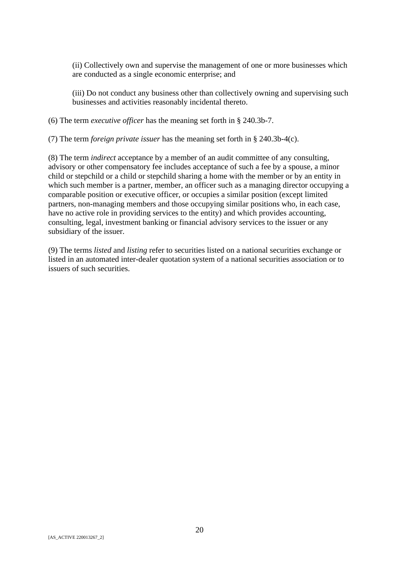(ii) Collectively own and supervise the management of one or more businesses which are conducted as a single economic enterprise; and

(iii) Do not conduct any business other than collectively owning and supervising such businesses and activities reasonably incidental thereto.

(6) The term *executive officer* has the meaning set forth in § 240.3b-7.

(7) The term *foreign private issuer* has the meaning set forth in § 240.3b-4(c).

(8) The term *indirect* acceptance by a member of an audit committee of any consulting, advisory or other compensatory fee includes acceptance of such a fee by a spouse, a minor child or stepchild or a child or stepchild sharing a home with the member or by an entity in which such member is a partner, member, an officer such as a managing director occupying a comparable position or executive officer, or occupies a similar position (except limited partners, non-managing members and those occupying similar positions who, in each case, have no active role in providing services to the entity) and which provides accounting, consulting, legal, investment banking or financial advisory services to the issuer or any subsidiary of the issuer.

(9) The terms *listed* and *listing* refer to securities listed on a national securities exchange or listed in an automated inter-dealer quotation system of a national securities association or to issuers of such securities.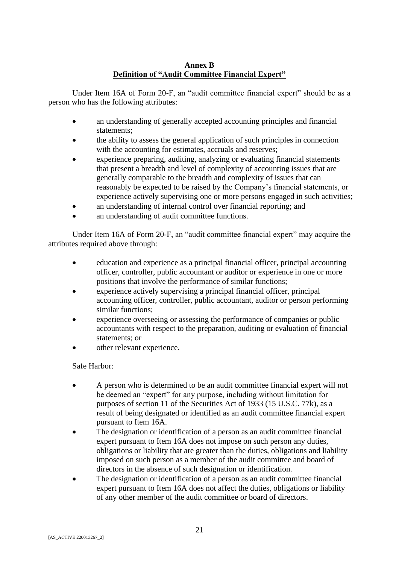### **Annex B Definition of "Audit Committee Financial Expert"**

Under Item 16A of Form 20-F, an "audit committee financial expert" should be as a person who has the following attributes:

- an understanding of generally accepted accounting principles and financial statements;
- the ability to assess the general application of such principles in connection with the accounting for estimates, accruals and reserves;
- experience preparing, auditing, analyzing or evaluating financial statements that present a breadth and level of complexity of accounting issues that are generally comparable to the breadth and complexity of issues that can reasonably be expected to be raised by the Company's financial statements, or experience actively supervising one or more persons engaged in such activities;
- an understanding of internal control over financial reporting; and
- an understanding of audit committee functions.

Under Item 16A of Form 20-F, an "audit committee financial expert" may acquire the attributes required above through:

- education and experience as a principal financial officer, principal accounting officer, controller, public accountant or auditor or experience in one or more positions that involve the performance of similar functions;
- experience actively supervising a principal financial officer, principal accounting officer, controller, public accountant, auditor or person performing similar functions;
- experience overseeing or assessing the performance of companies or public accountants with respect to the preparation, auditing or evaluation of financial statements; or
- other relevant experience.

# Safe Harbor:

- A person who is determined to be an audit committee financial expert will not be deemed an "expert" for any purpose, including without limitation for purposes of section 11 of the Securities Act of 1933 (15 U.S.C. 77k), as a result of being designated or identified as an audit committee financial expert pursuant to Item 16A.
- The designation or identification of a person as an audit committee financial expert pursuant to Item 16A does not impose on such person any duties, obligations or liability that are greater than the duties, obligations and liability imposed on such person as a member of the audit committee and board of directors in the absence of such designation or identification.
- The designation or identification of a person as an audit committee financial expert pursuant to Item 16A does not affect the duties, obligations or liability of any other member of the audit committee or board of directors.